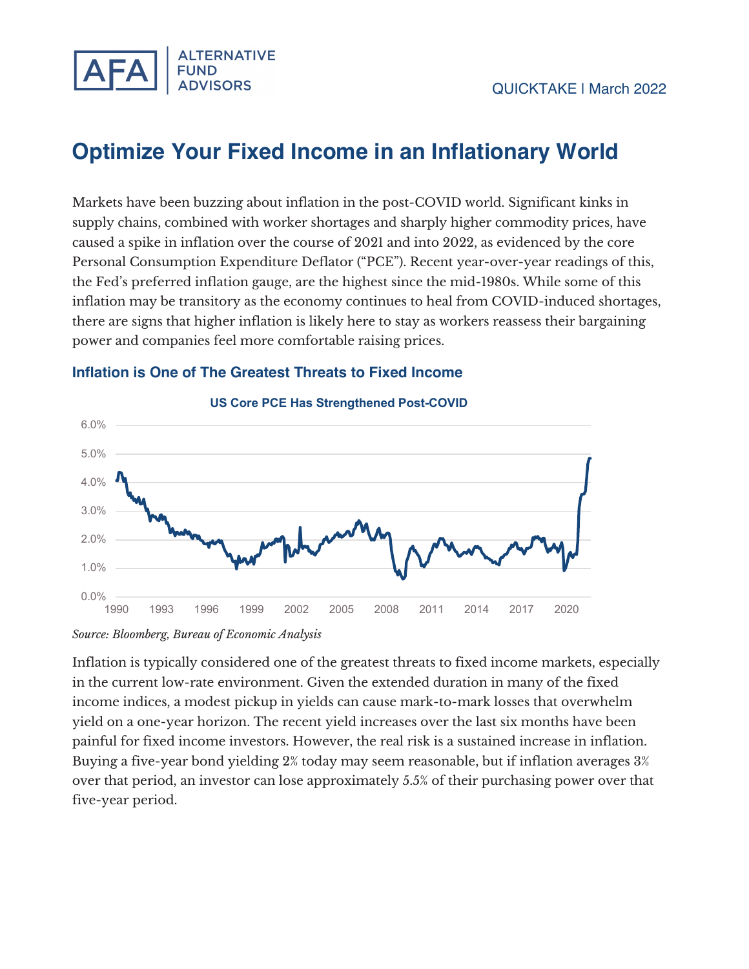

# **Optimize Your Fixed Income in an Inflationary World**

Markets have been buzzing about inflation in the post-COVID world. Significant kinks in supply chains, combined with worker shortages and sharply higher commodity prices, have caused a spike in inflation over the course of 2021 and into 2022, as evidenced by the core Personal Consumption Expenditure Deflator ("PCE"). Recent year-over-year readings of this, the Fed's preferred inflation gauge, are the highest since the mid-1980s. While some of this inflation may be transitory as the economy continues to heal from COVID-induced shortages, there are signs that higher inflation is likely here to stay as workers reassess their bargaining power and companies feel more comfortable raising prices.





Inflation is typically considered one of the greatest threats to fixed income markets, especially in the current low-rate environment. Given the extended duration in many of the fixed income indices, a modest pickup in yields can cause mark-to-mark losses that overwhelm yield on a one-year horizon. The recent yield increases over the last six months have been painful for fixed income investors. However, the real risk is a sustained increase in inflation. Buying a five-year bond yielding 2% today may seem reasonable, but if inflation averages 3% over that period, an investor can lose approximately 5.5% of their purchasing power over that five-year period.

*Source: Bloomberg, Bureau of Economic Analysis*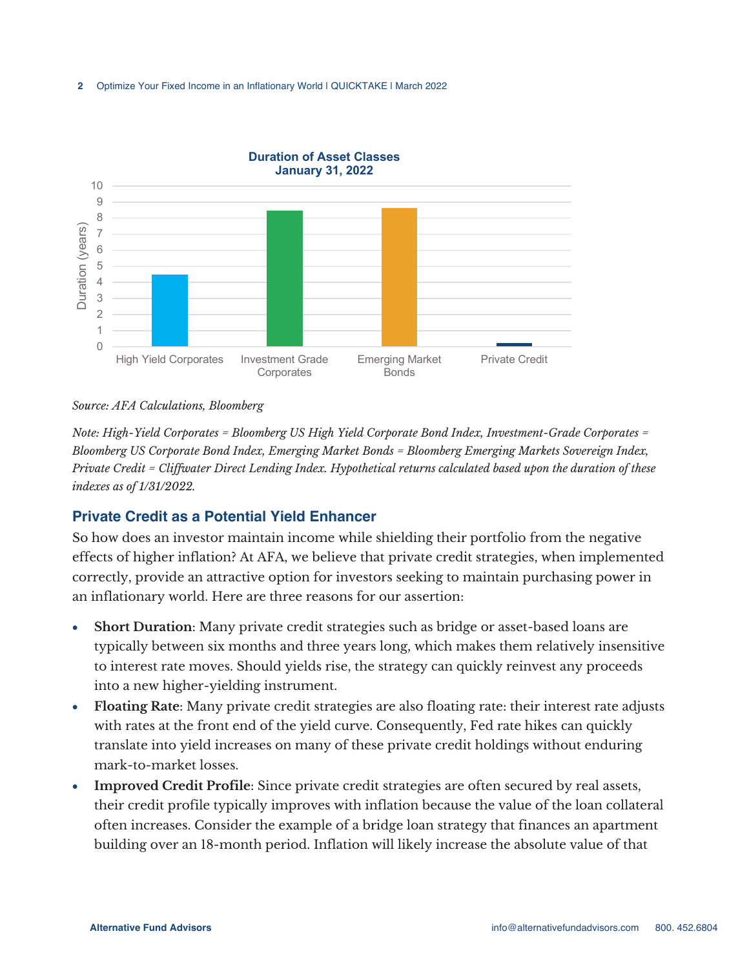

#### *Source: AFA Calculations, Bloomberg*

*Note: High-Yield Corporates = Bloomberg US High Yield Corporate Bond Index, Investment-Grade Corporates = Bloomberg US Corporate Bond Index, Emerging Market Bonds = Bloomberg Emerging Markets Sovereign Index, Private Credit = Cliffwater Direct Lending Index. Hypothetical returns calculated based upon the duration of these indexes as of 1/31/2022.*

## **Private Credit as a Potential Yield Enhancer**

So how does an investor maintain income while shielding their portfolio from the negative effects of higher inflation? At AFA, we believe that private credit strategies, when implemented correctly, provide an attractive option for investors seeking to maintain purchasing power in an inflationary world. Here are three reasons for our assertion:

- **Short Duration**: Many private credit strategies such as bridge or asset-based loans are typically between six months and three years long, which makes them relatively insensitive to interest rate moves. Should yields rise, the strategy can quickly reinvest any proceeds into a new higher-yielding instrument.
- **Floating Rate**: Many private credit strategies are also floating rate: their interest rate adjusts with rates at the front end of the yield curve. Consequently, Fed rate hikes can quickly translate into yield increases on many of these private credit holdings without enduring mark-to-market losses.
- **Improved Credit Profile**: Since private credit strategies are often secured by real assets, their credit profile typically improves with inflation because the value of the loan collateral often increases. Consider the example of a bridge loan strategy that finances an apartment building over an 18-month period. Inflation will likely increase the absolute value of that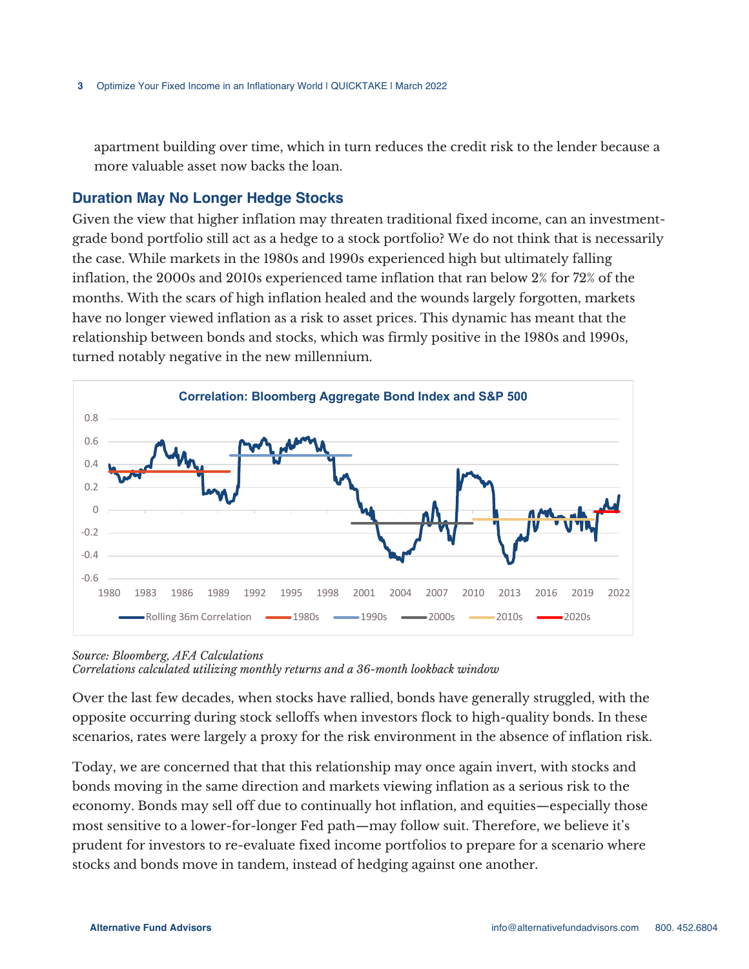apartment building over time, which in turn reduces the credit risk to the lender because a more valuable asset now backs the loan.

### **Duration May No Longer Hedge Stocks**

Given the view that higher inflation may threaten traditional fixed income, can an investmentgrade bond portfolio still act as a hedge to a stock portfolio? We do not think that is necessarily the case. While markets in the 1980s and 1990s experienced high but ultimately falling inflation, the 2000s and 2010s experienced tame inflation that ran below 2% for 72% of the months. With the scars of high inflation healed and the wounds largely forgotten, markets have no longer viewed inflation as a risk to asset prices. This dynamic has meant that the relationship between bonds and stocks, which was firmly positive in the 1980s and 1990s, turned notably negative in the new millennium.



*Source: Bloomberg, AFA Calculations Correlations calculated utilizing monthly returns and a 36-month lookback window*

Over the last few decades, when stocks have rallied, bonds have generally struggled, with the opposite occurring during stock selloffs when investors flock to high-quality bonds. In these scenarios, rates were largely a proxy for the risk environment in the absence of inflation risk.

Today, we are concerned that that this relationship may once again invert, with stocks and bonds moving in the same direction and markets viewing inflation as a serious risk to the economy. Bonds may sell off due to continually hot inflation, and equities—especially those most sensitive to a lower-for-longer Fed path—may follow suit. Therefore, we believe it's prudent for investors to re-evaluate fixed income portfolios to prepare for a scenario where stocks and bonds move in tandem, instead of hedging against one another.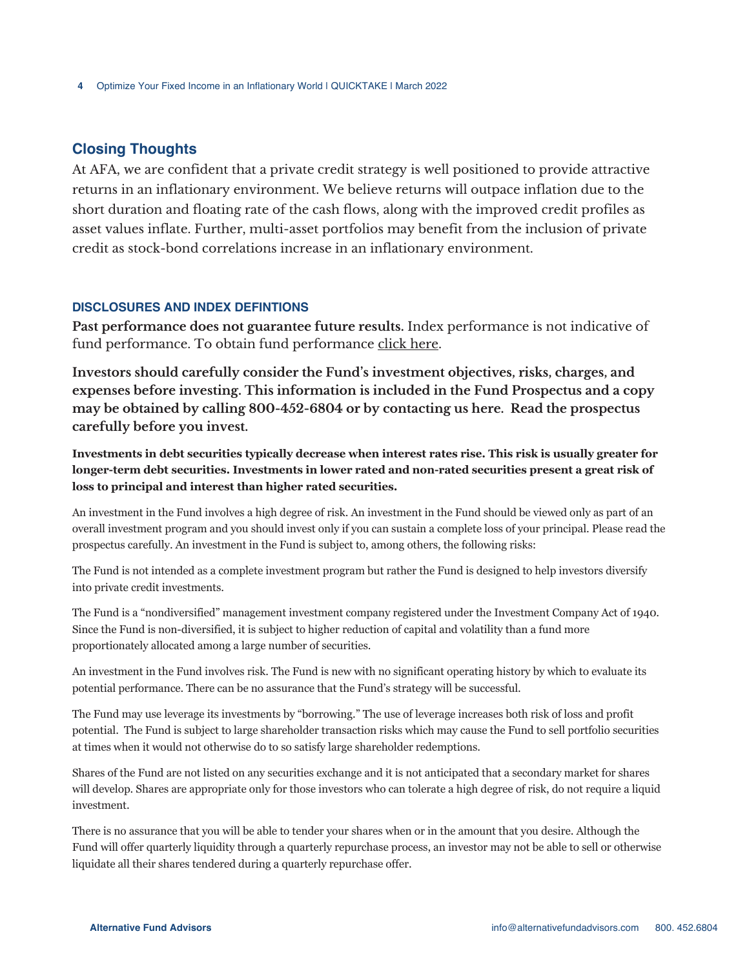# **Closing Thoughts**

At AFA, we are confident that a private credit strategy is well positioned to provide attractive returns in an inflationary environment. We believe returns will outpace inflation due to the short duration and floating rate of the cash flows, along with the improved credit profiles as asset values inflate. Further, multi-asset portfolios may benefit from the inclusion of private credit as stock-bond correlations increase in an inflationary environment.

#### **DISCLOSURES AND INDEX DEFINTIONS**

**Past performance does not guarantee future results.** Index performance is not indicative of fund performance. To obtain fund performance click here.

**Investors should carefully consider the Fund's investment objectives, risks, charges, and expenses before investing. This information is included in the Fund Prospectus and a copy may be obtained by calling 800-452-6804 or by contacting us here. Read the prospectus carefully before you invest.**

**Investments in debt securities typically decrease when interest rates rise. This risk is usually greater for longer-term debt securities. Investments in lower rated and non-rated securities present a great risk of loss to principal and interest than higher rated securities.**

An investment in the Fund involves a high degree of risk. An investment in the Fund should be viewed only as part of an overall investment program and you should invest only if you can sustain a complete loss of your principal. Please read the prospectus carefully. An investment in the Fund is subject to, among others, the following risks:

The Fund is not intended as a complete investment program but rather the Fund is designed to help investors diversify into private credit investments.

The Fund is a "nondiversified" management investment company registered under the Investment Company Act of 1940. Since the Fund is non-diversified, it is subject to higher reduction of capital and volatility than a fund more proportionately allocated among a large number of securities.

An investment in the Fund involves risk. The Fund is new with no significant operating history by which to evaluate its potential performance. There can be no assurance that the Fund's strategy will be successful.

The Fund may use leverage its investments by "borrowing." The use of leverage increases both risk of loss and profit potential. The Fund is subject to large shareholder transaction risks which may cause the Fund to sell portfolio securities at times when it would not otherwise do to so satisfy large shareholder redemptions.

Shares of the Fund are not listed on any securities exchange and it is not anticipated that a secondary market for shares will develop. Shares are appropriate only for those investors who can tolerate a high degree of risk, do not require a liquid investment.

There is no assurance that you will be able to tender your shares when or in the amount that you desire. Although the Fund will offer quarterly liquidity through a quarterly repurchase process, an investor may not be able to sell or otherwise liquidate all their shares tendered during a quarterly repurchase offer.